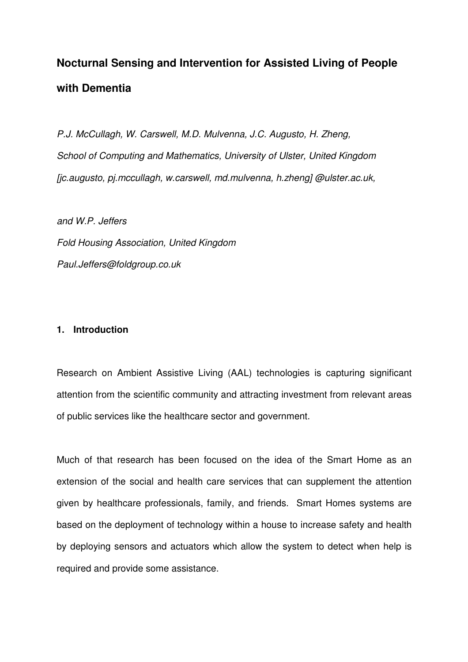# **Nocturnal Sensing and Intervention for Assisted Living of People with Dementia**

P.J. McCullagh, W. Carswell, M.D. Mulvenna, J.C. Augusto, H. Zheng, School of Computing and Mathematics, University of Ulster, United Kingdom [jc.augusto, pj.mccullagh, w.carswell, md.mulvenna, h.zheng] @ulster.ac.uk,

and W.P. Jeffers Fold Housing Association, United Kingdom Paul.Jeffers@foldgroup.co.uk

# **1. Introduction**

Research on Ambient Assistive Living (AAL) technologies is capturing significant attention from the scientific community and attracting investment from relevant areas of public services like the healthcare sector and government.

Much of that research has been focused on the idea of the Smart Home as an extension of the social and health care services that can supplement the attention given by healthcare professionals, family, and friends. Smart Homes systems are based on the deployment of technology within a house to increase safety and health by deploying sensors and actuators which allow the system to detect when help is required and provide some assistance.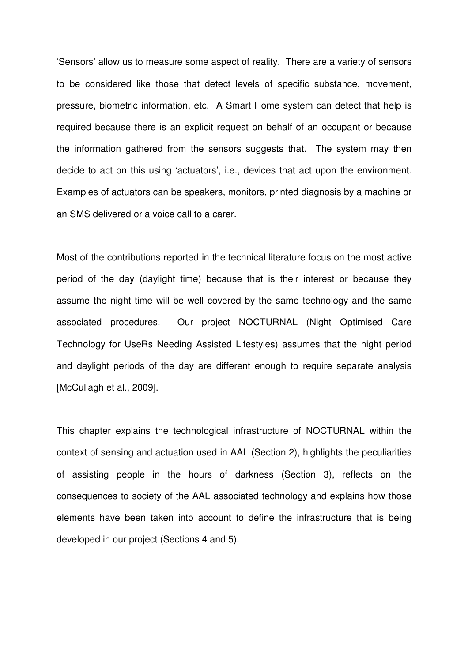'Sensors' allow us to measure some aspect of reality. There are a variety of sensors to be considered like those that detect levels of specific substance, movement, pressure, biometric information, etc. A Smart Home system can detect that help is required because there is an explicit request on behalf of an occupant or because the information gathered from the sensors suggests that. The system may then decide to act on this using 'actuators', i.e., devices that act upon the environment. Examples of actuators can be speakers, monitors, printed diagnosis by a machine or an SMS delivered or a voice call to a carer.

Most of the contributions reported in the technical literature focus on the most active period of the day (daylight time) because that is their interest or because they assume the night time will be well covered by the same technology and the same associated procedures. Our project NOCTURNAL (Night Optimised Care Technology for UseRs Needing Assisted Lifestyles) assumes that the night period and daylight periods of the day are different enough to require separate analysis [McCullagh et al., 2009].

This chapter explains the technological infrastructure of NOCTURNAL within the context of sensing and actuation used in AAL (Section 2), highlights the peculiarities of assisting people in the hours of darkness (Section 3), reflects on the consequences to society of the AAL associated technology and explains how those elements have been taken into account to define the infrastructure that is being developed in our project (Sections 4 and 5).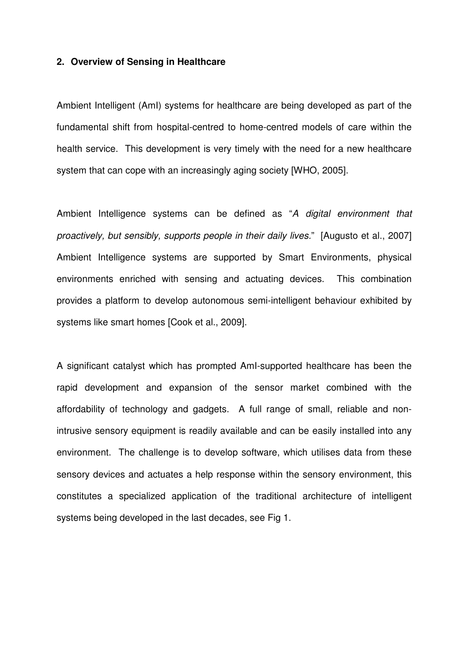### **2. Overview of Sensing in Healthcare**

Ambient Intelligent (AmI) systems for healthcare are being developed as part of the fundamental shift from hospital-centred to home-centred models of care within the health service. This development is very timely with the need for a new healthcare system that can cope with an increasingly aging society [WHO, 2005].

Ambient Intelligence systems can be defined as "A digital environment that proactively, but sensibly, supports people in their daily lives." [Augusto et al., 2007] Ambient Intelligence systems are supported by Smart Environments, physical environments enriched with sensing and actuating devices. This combination provides a platform to develop autonomous semi-intelligent behaviour exhibited by systems like smart homes [Cook et al., 2009].

A significant catalyst which has prompted AmI-supported healthcare has been the rapid development and expansion of the sensor market combined with the affordability of technology and gadgets. A full range of small, reliable and nonintrusive sensory equipment is readily available and can be easily installed into any environment. The challenge is to develop software, which utilises data from these sensory devices and actuates a help response within the sensory environment, this constitutes a specialized application of the traditional architecture of intelligent systems being developed in the last decades, see Fig 1.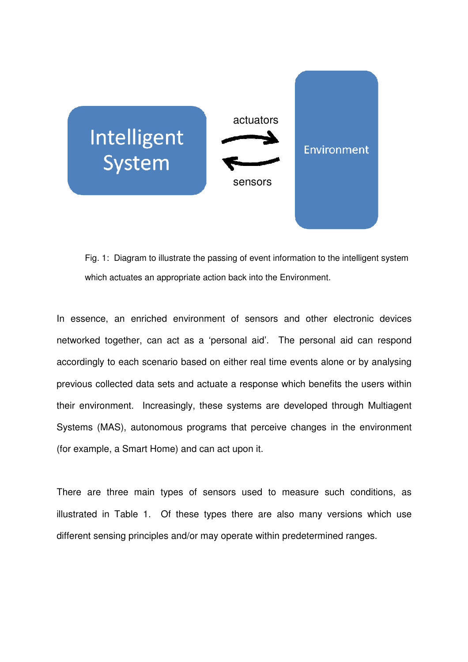

Fig. 1: Diagram to illustrate the passing of event information to the intelligent system which actuates an appropriate action back into the Environment.

In essence, an enriched environment of sensors and other electronic devices networked together, can act as a 'personal aid'. The personal aid can respond accordingly to each scenario based on either real time events alone or by analysing previous collected data sets and actuate a response which benefits the users within their environment. Increasingly, these systems are developed through Multiagent Systems (MAS), autonomous programs that perceive changes in the environment (for example, a Smart Home) and can act upon it.

There are three main types of sensors used to measure such conditions, as illustrated in Table 1. Of these types there are also many versions which use different sensing principles and/or may operate within predetermined ranges.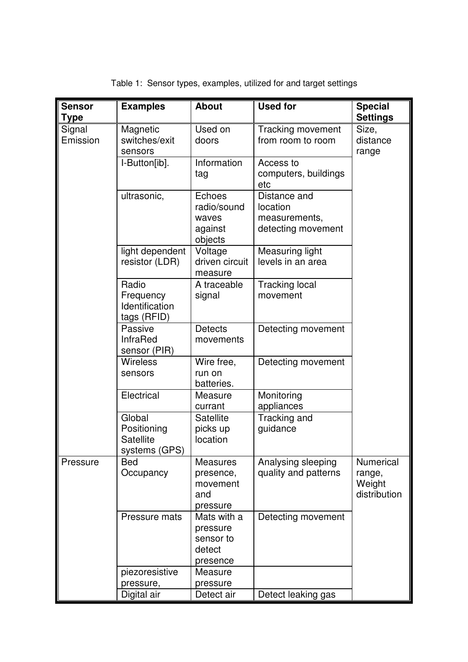| <b>Sensor</b><br>Type | <b>Examples</b>                                     | <b>About</b>                                                | <b>Used for</b>                                                 | <b>Special</b><br><b>Settings</b>                    |
|-----------------------|-----------------------------------------------------|-------------------------------------------------------------|-----------------------------------------------------------------|------------------------------------------------------|
| Signal<br>Emission    | Magnetic<br>switches/exit<br>sensors                | Used on<br>doors                                            | <b>Tracking movement</b><br>from room to room                   | Size,<br>distance<br>range                           |
|                       | I-Button[ib].                                       | Information<br>tag                                          | Access to<br>computers, buildings<br>etc                        |                                                      |
|                       | ultrasonic,                                         | Echoes<br>radio/sound<br>waves<br>against<br>objects        | Distance and<br>location<br>measurements,<br>detecting movement |                                                      |
|                       | light dependent<br>resistor (LDR)                   | Voltage<br>driven circuit<br>measure                        | Measuring light<br>levels in an area                            |                                                      |
|                       | Radio<br>Frequency<br>Identification<br>tags (RFID) | A traceable<br>signal                                       | <b>Tracking local</b><br>movement                               |                                                      |
|                       | Passive<br><b>InfraRed</b><br>sensor (PIR)          | <b>Detects</b><br>movements                                 | Detecting movement                                              |                                                      |
|                       | <b>Wireless</b><br>sensors                          | Wire free,<br>run on<br>batteries.                          | Detecting movement                                              |                                                      |
|                       | Electrical                                          | Measure<br>currant                                          | Monitoring<br>appliances                                        |                                                      |
|                       | Global<br>Positioning<br>Satellite<br>systems (GPS) | <b>Satellite</b><br>picks up<br>location                    | Tracking and<br>guidance                                        |                                                      |
| Pressure              | <b>Bed</b><br>Occupancy                             | <b>Measures</b><br>presence,<br>movement<br>and<br>pressure | Analysing sleeping<br>quality and patterns                      | <b>Numerical</b><br>range,<br>Weight<br>distribution |
|                       | Pressure mats                                       | Mats with a<br>pressure<br>sensor to<br>detect<br>presence  | Detecting movement                                              |                                                      |
|                       | piezoresistive<br>pressure,                         | Measure<br>pressure                                         |                                                                 |                                                      |
|                       | Digital air                                         | Detect air                                                  | Detect leaking gas                                              |                                                      |

Table 1: Sensor types, examples, utilized for and target settings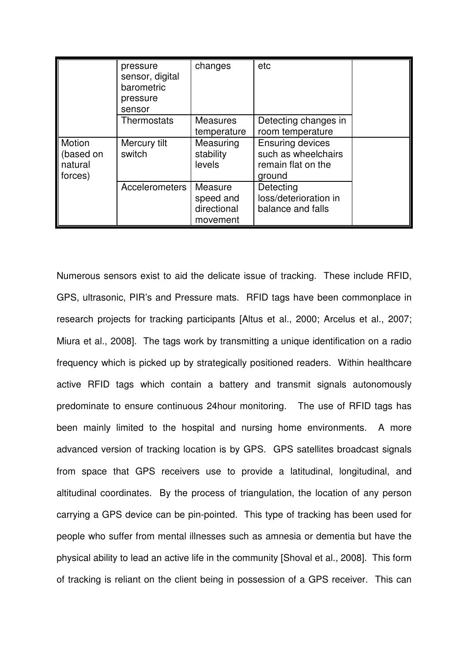|                                                  | pressure<br>sensor, digital<br>barometric<br>pressure<br>sensor | changes                                         | etc                                                                            |  |
|--------------------------------------------------|-----------------------------------------------------------------|-------------------------------------------------|--------------------------------------------------------------------------------|--|
|                                                  | Thermostats                                                     | <b>Measures</b><br>temperature                  | Detecting changes in<br>room temperature                                       |  |
| <b>Motion</b><br>(based on<br>natural<br>forces) | Mercury tilt<br>switch                                          | Measuring<br>stability<br>levels                | <b>Ensuring devices</b><br>such as wheelchairs<br>remain flat on the<br>ground |  |
|                                                  | <b>Accelerometers</b>                                           | Measure<br>speed and<br>directional<br>movement | Detecting<br>loss/deterioration in<br>balance and falls                        |  |

Numerous sensors exist to aid the delicate issue of tracking. These include RFID, GPS, ultrasonic, PIR's and Pressure mats. RFID tags have been commonplace in research projects for tracking participants [Altus et al., 2000; Arcelus et al., 2007; Miura et al., 2008]. The tags work by transmitting a unique identification on a radio frequency which is picked up by strategically positioned readers. Within healthcare active RFID tags which contain a battery and transmit signals autonomously predominate to ensure continuous 24hour monitoring. The use of RFID tags has been mainly limited to the hospital and nursing home environments. A more advanced version of tracking location is by GPS. GPS satellites broadcast signals from space that GPS receivers use to provide a latitudinal, longitudinal, and altitudinal coordinates. By the process of triangulation, the location of any person carrying a GPS device can be pin-pointed. This type of tracking has been used for people who suffer from mental illnesses such as amnesia or dementia but have the physical ability to lead an active life in the community [Shoval et al., 2008]. This form of tracking is reliant on the client being in possession of a GPS receiver. This can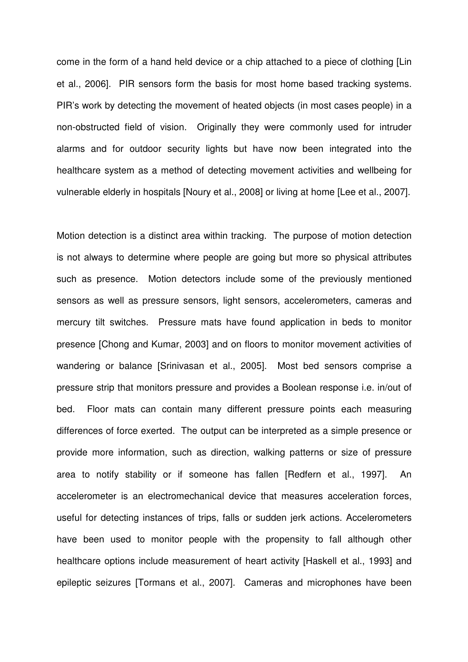come in the form of a hand held device or a chip attached to a piece of clothing [Lin et al., 2006]. PIR sensors form the basis for most home based tracking systems. PIR's work by detecting the movement of heated objects (in most cases people) in a non-obstructed field of vision. Originally they were commonly used for intruder alarms and for outdoor security lights but have now been integrated into the healthcare system as a method of detecting movement activities and wellbeing for vulnerable elderly in hospitals [Noury et al., 2008] or living at home [Lee et al., 2007].

Motion detection is a distinct area within tracking. The purpose of motion detection is not always to determine where people are going but more so physical attributes such as presence. Motion detectors include some of the previously mentioned sensors as well as pressure sensors, light sensors, accelerometers, cameras and mercury tilt switches. Pressure mats have found application in beds to monitor presence [Chong and Kumar, 2003] and on floors to monitor movement activities of wandering or balance [Srinivasan et al., 2005]. Most bed sensors comprise a pressure strip that monitors pressure and provides a Boolean response i.e. in/out of bed. Floor mats can contain many different pressure points each measuring differences of force exerted. The output can be interpreted as a simple presence or provide more information, such as direction, walking patterns or size of pressure area to notify stability or if someone has fallen [Redfern et al., 1997]. An accelerometer is an electromechanical device that measures acceleration forces, useful for detecting instances of trips, falls or sudden jerk actions. Accelerometers have been used to monitor people with the propensity to fall although other healthcare options include measurement of heart activity [Haskell et al., 1993] and epileptic seizures [Tormans et al., 2007]. Cameras and microphones have been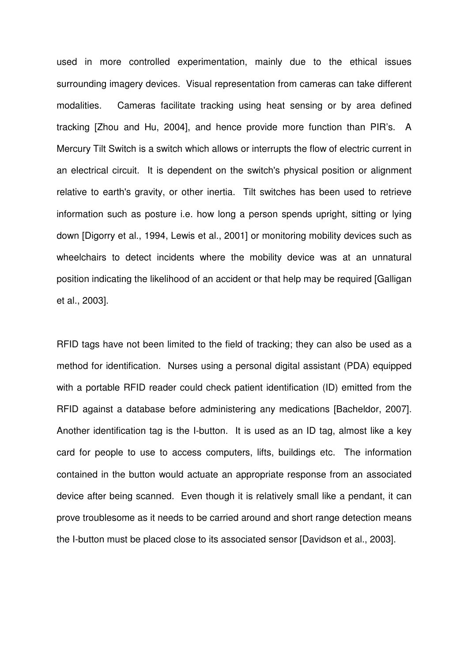used in more controlled experimentation, mainly due to the ethical issues surrounding imagery devices. Visual representation from cameras can take different modalities. Cameras facilitate tracking using heat sensing or by area defined tracking [Zhou and Hu, 2004], and hence provide more function than PIR's. A Mercury Tilt Switch is a switch which allows or interrupts the flow of electric current in an electrical circuit. It is dependent on the switch's physical position or alignment relative to earth's gravity, or other inertia. Tilt switches has been used to retrieve information such as posture i.e. how long a person spends upright, sitting or lying down [Digorry et al., 1994, Lewis et al., 2001] or monitoring mobility devices such as wheelchairs to detect incidents where the mobility device was at an unnatural position indicating the likelihood of an accident or that help may be required [Galligan et al., 2003].

RFID tags have not been limited to the field of tracking; they can also be used as a method for identification. Nurses using a personal digital assistant (PDA) equipped with a portable RFID reader could check patient identification (ID) emitted from the RFID against a database before administering any medications [Bacheldor, 2007]. Another identification tag is the I-button. It is used as an ID tag, almost like a key card for people to use to access computers, lifts, buildings etc. The information contained in the button would actuate an appropriate response from an associated device after being scanned. Even though it is relatively small like a pendant, it can prove troublesome as it needs to be carried around and short range detection means the I-button must be placed close to its associated sensor [Davidson et al., 2003].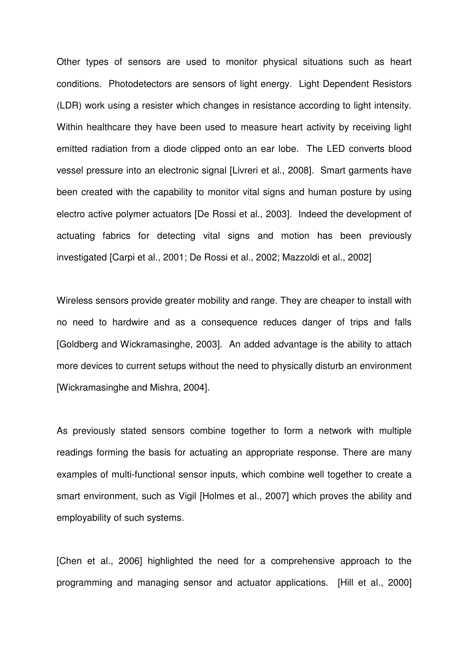Other types of sensors are used to monitor physical situations such as heart conditions. Photodetectors are sensors of light energy. Light Dependent Resistors (LDR) work using a resister which changes in resistance according to light intensity. Within healthcare they have been used to measure heart activity by receiving light emitted radiation from a diode clipped onto an ear lobe. The LED converts blood vessel pressure into an electronic signal [Livreri et al., 2008]. Smart garments have been created with the capability to monitor vital signs and human posture by using electro active polymer actuators [De Rossi et al., 2003]. Indeed the development of actuating fabrics for detecting vital signs and motion has been previously investigated [Carpi et al., 2001; De Rossi et al., 2002; Mazzoldi et al., 2002]

Wireless sensors provide greater mobility and range. They are cheaper to install with no need to hardwire and as a consequence reduces danger of trips and falls [Goldberg and Wickramasinghe, 2003]. An added advantage is the ability to attach more devices to current setups without the need to physically disturb an environment [Wickramasinghe and Mishra, 2004].

As previously stated sensors combine together to form a network with multiple readings forming the basis for actuating an appropriate response. There are many examples of multi-functional sensor inputs, which combine well together to create a smart environment, such as Vigil [Holmes et al., 2007] which proves the ability and employability of such systems.

[Chen et al., 2006] highlighted the need for a comprehensive approach to the programming and managing sensor and actuator applications. [Hill et al., 2000]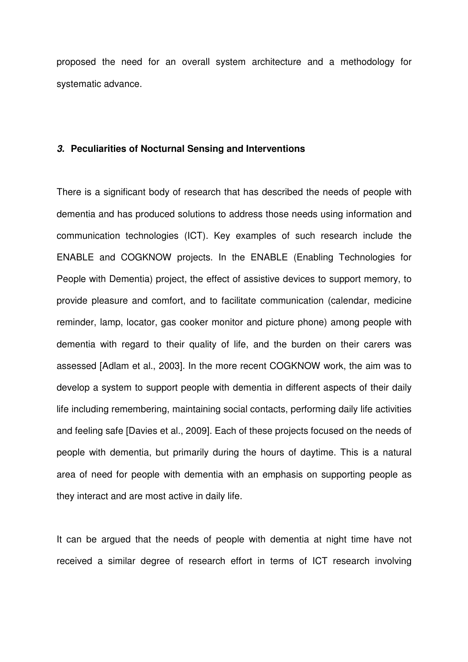proposed the need for an overall system architecture and a methodology for systematic advance.

#### **3. Peculiarities of Nocturnal Sensing and Interventions**

There is a significant body of research that has described the needs of people with dementia and has produced solutions to address those needs using information and communication technologies (ICT). Key examples of such research include the ENABLE and COGKNOW projects. In the ENABLE (Enabling Technologies for People with Dementia) project, the effect of assistive devices to support memory, to provide pleasure and comfort, and to facilitate communication (calendar, medicine reminder, lamp, locator, gas cooker monitor and picture phone) among people with dementia with regard to their quality of life, and the burden on their carers was assessed [Adlam et al., 2003]. In the more recent COGKNOW work, the aim was to develop a system to support people with dementia in different aspects of their daily life including remembering, maintaining social contacts, performing daily life activities and feeling safe [Davies et al., 2009]. Each of these projects focused on the needs of people with dementia, but primarily during the hours of daytime. This is a natural area of need for people with dementia with an emphasis on supporting people as they interact and are most active in daily life.

It can be argued that the needs of people with dementia at night time have not received a similar degree of research effort in terms of ICT research involving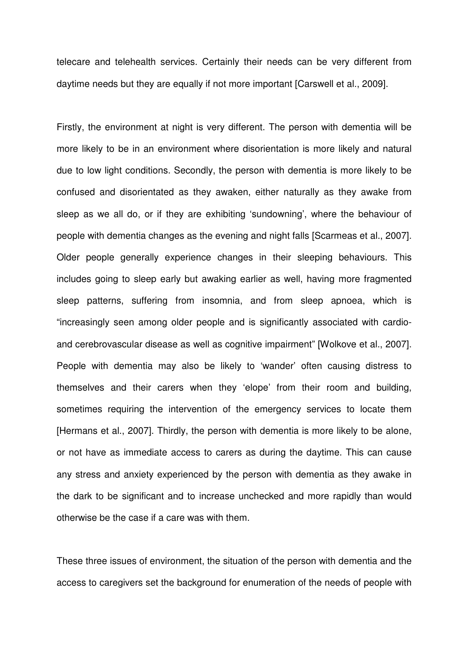telecare and telehealth services. Certainly their needs can be very different from daytime needs but they are equally if not more important [Carswell et al., 2009].

Firstly, the environment at night is very different. The person with dementia will be more likely to be in an environment where disorientation is more likely and natural due to low light conditions. Secondly, the person with dementia is more likely to be confused and disorientated as they awaken, either naturally as they awake from sleep as we all do, or if they are exhibiting 'sundowning', where the behaviour of people with dementia changes as the evening and night falls [Scarmeas et al., 2007]. Older people generally experience changes in their sleeping behaviours. This includes going to sleep early but awaking earlier as well, having more fragmented sleep patterns, suffering from insomnia, and from sleep apnoea, which is "increasingly seen among older people and is significantly associated with cardioand cerebrovascular disease as well as cognitive impairment" [Wolkove et al., 2007]. People with dementia may also be likely to 'wander' often causing distress to themselves and their carers when they 'elope' from their room and building, sometimes requiring the intervention of the emergency services to locate them [Hermans et al., 2007]. Thirdly, the person with dementia is more likely to be alone, or not have as immediate access to carers as during the daytime. This can cause any stress and anxiety experienced by the person with dementia as they awake in the dark to be significant and to increase unchecked and more rapidly than would otherwise be the case if a care was with them.

These three issues of environment, the situation of the person with dementia and the access to caregivers set the background for enumeration of the needs of people with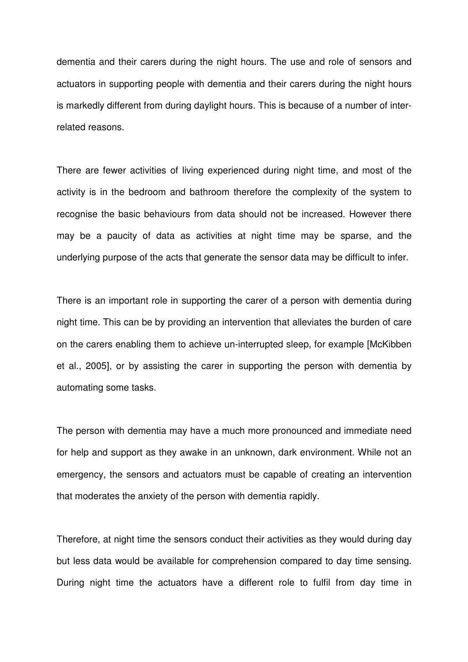dementia and their carers during the night hours. The use and role of sensors and actuators in supporting people with dementia and their carers during the night hours is markedly different from during daylight hours. This is because of a number of interrelated reasons.

There are fewer activities of living experienced during night time, and most of the activity is in the bedroom and bathroom therefore the complexity of the system to recognise the basic behaviours from data should not be increased. However there may be a paucity of data as activities at night time may be sparse, and the underlying purpose of the acts that generate the sensor data may be difficult to infer.

There is an important role in supporting the carer of a person with dementia during night time. This can be by providing an intervention that alleviates the burden of care on the carers enabling them to achieve un-interrupted sleep, for example [McKibben et al., 2005], or by assisting the carer in supporting the person with dementia by automating some tasks.

The person with dementia may have a much more pronounced and immediate need for help and support as they awake in an unknown, dark environment. While not an emergency, the sensors and actuators must be capable of creating an intervention that moderates the anxiety of the person with dementia rapidly.

Therefore, at night time the sensors conduct their activities as they would during day but less data would be available for comprehension compared to day time sensing. During night time the actuators have a different role to fulfil from day time in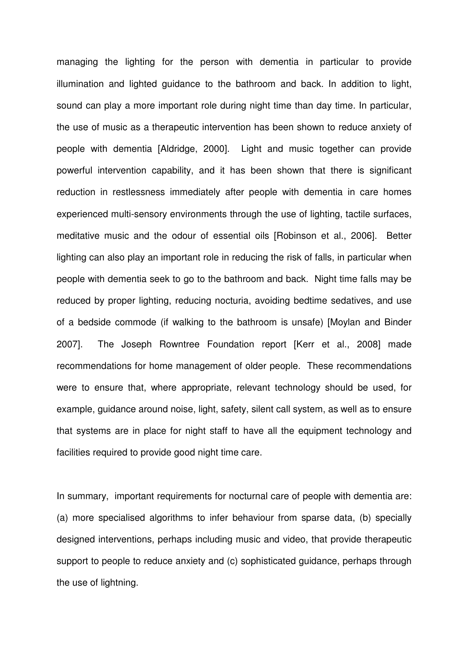managing the lighting for the person with dementia in particular to provide illumination and lighted guidance to the bathroom and back. In addition to light, sound can play a more important role during night time than day time. In particular, the use of music as a therapeutic intervention has been shown to reduce anxiety of people with dementia [Aldridge, 2000]. Light and music together can provide powerful intervention capability, and it has been shown that there is significant reduction in restlessness immediately after people with dementia in care homes experienced multi-sensory environments through the use of lighting, tactile surfaces, meditative music and the odour of essential oils [Robinson et al., 2006]. Better lighting can also play an important role in reducing the risk of falls, in particular when people with dementia seek to go to the bathroom and back. Night time falls may be reduced by proper lighting, reducing nocturia, avoiding bedtime sedatives, and use of a bedside commode (if walking to the bathroom is unsafe) [Moylan and Binder 2007]. The Joseph Rowntree Foundation report [Kerr et al., 2008] made recommendations for home management of older people. These recommendations were to ensure that, where appropriate, relevant technology should be used, for example, guidance around noise, light, safety, silent call system, as well as to ensure that systems are in place for night staff to have all the equipment technology and facilities required to provide good night time care.

In summary, important requirements for nocturnal care of people with dementia are: (a) more specialised algorithms to infer behaviour from sparse data, (b) specially designed interventions, perhaps including music and video, that provide therapeutic support to people to reduce anxiety and (c) sophisticated guidance, perhaps through the use of lightning.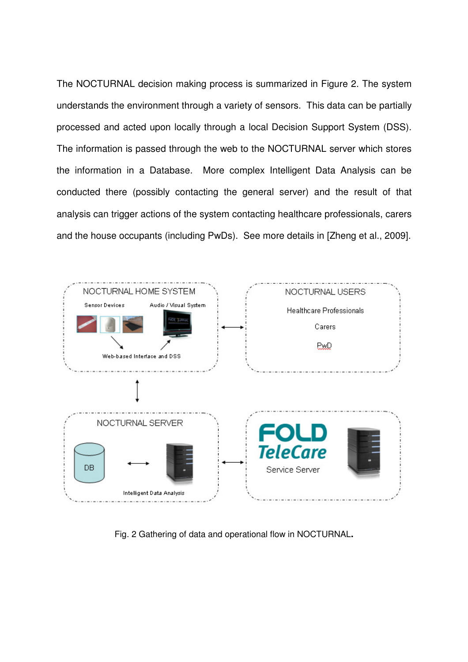The NOCTURNAL decision making process is summarized in Figure 2. The system understands the environment through a variety of sensors. This data can be partially processed and acted upon locally through a local Decision Support System (DSS). The information is passed through the web to the NOCTURNAL server which stores the information in a Database. More complex Intelligent Data Analysis can be conducted there (possibly contacting the general server) and the result of that analysis can trigger actions of the system contacting healthcare professionals, carers and the house occupants (including PwDs). See more details in [Zheng et al., 2009].



Fig. 2 Gathering of data and operational flow in NOCTURNAL**.**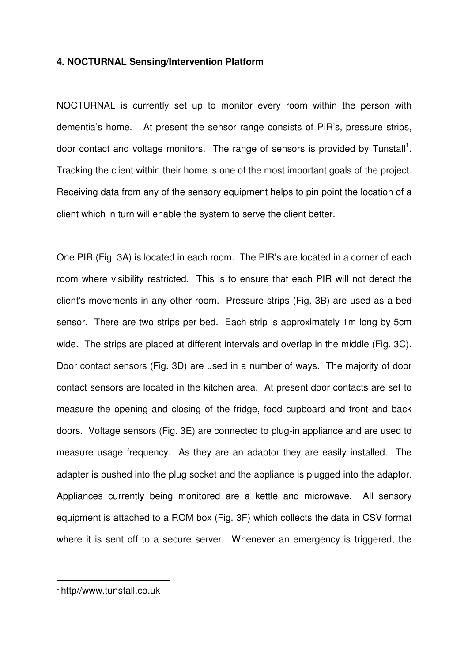## **4. NOCTURNAL Sensing/Intervention Platform**

NOCTURNAL is currently set up to monitor every room within the person with dementia's home. At present the sensor range consists of PIR's, pressure strips, door contact and voltage monitors. The range of sensors is provided by Tunstall<sup>1</sup>. Tracking the client within their home is one of the most important goals of the project. Receiving data from any of the sensory equipment helps to pin point the location of a client which in turn will enable the system to serve the client better.

One PIR (Fig. 3A) is located in each room. The PIR's are located in a corner of each room where visibility restricted. This is to ensure that each PIR will not detect the client's movements in any other room. Pressure strips (Fig. 3B) are used as a bed sensor. There are two strips per bed. Each strip is approximately 1m long by 5cm wide. The strips are placed at different intervals and overlap in the middle (Fig. 3C). Door contact sensors (Fig. 3D) are used in a number of ways. The majority of door contact sensors are located in the kitchen area. At present door contacts are set to measure the opening and closing of the fridge, food cupboard and front and back doors. Voltage sensors (Fig. 3E) are connected to plug-in appliance and are used to measure usage frequency. As they are an adaptor they are easily installed. The adapter is pushed into the plug socket and the appliance is plugged into the adaptor. Appliances currently being monitored are a kettle and microwave. All sensory equipment is attached to a ROM box (Fig. 3F) which collects the data in CSV format where it is sent off to a secure server. Whenever an emergency is triggered, the

 $\overline{\phantom{0}}$ 

<sup>1</sup> http//www.tunstall.co.uk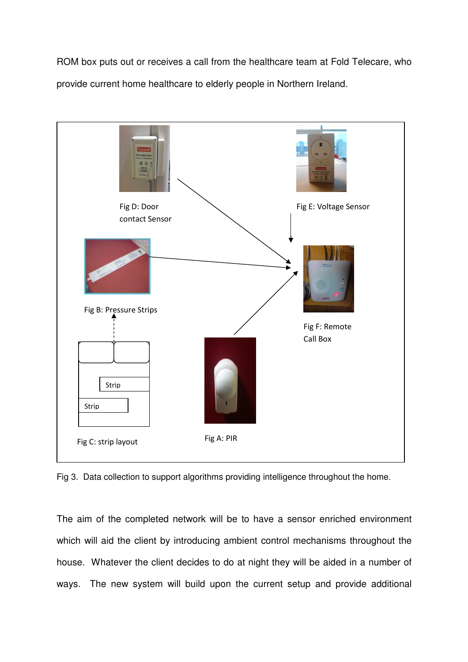ROM box puts out or receives a call from the healthcare team at Fold Telecare, who provide current home healthcare to elderly people in Northern Ireland.



Fig 3. Data collection to support algorithms providing intelligence throughout the home.

The aim of the completed network will be to have a sensor enriched environment which will aid the client by introducing ambient control mechanisms throughout the house. Whatever the client decides to do at night they will be aided in a number of ways. The new system will build upon the current setup and provide additional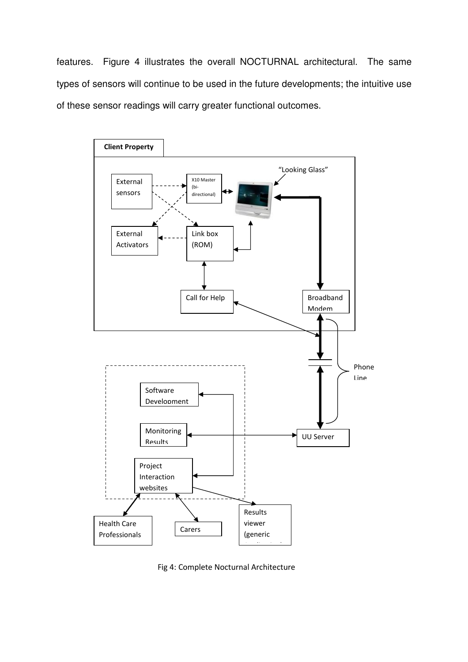features. Figure 4 illustrates the overall NOCTURNAL architectural. The same types of sensors will continue to be used in the future developments; the intuitive use of these sensor readings will carry greater functional outcomes.



Fig 4: Complete Nocturnal Architecture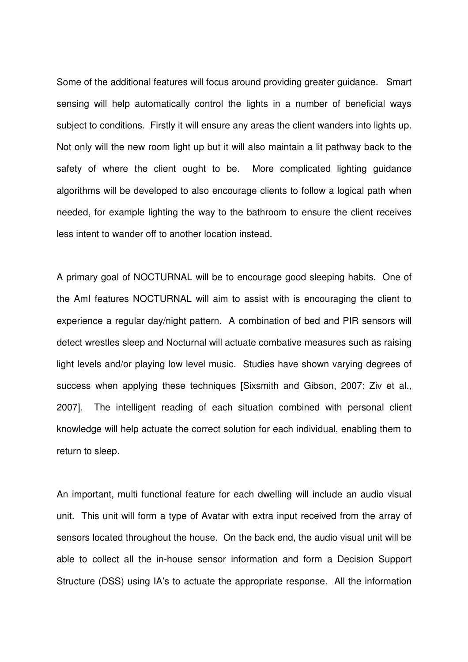Some of the additional features will focus around providing greater guidance. Smart sensing will help automatically control the lights in a number of beneficial ways subject to conditions. Firstly it will ensure any areas the client wanders into lights up. Not only will the new room light up but it will also maintain a lit pathway back to the safety of where the client ought to be. More complicated lighting guidance algorithms will be developed to also encourage clients to follow a logical path when needed, for example lighting the way to the bathroom to ensure the client receives less intent to wander off to another location instead.

A primary goal of NOCTURNAL will be to encourage good sleeping habits. One of the AmI features NOCTURNAL will aim to assist with is encouraging the client to experience a regular day/night pattern. A combination of bed and PIR sensors will detect wrestles sleep and Nocturnal will actuate combative measures such as raising light levels and/or playing low level music. Studies have shown varying degrees of success when applying these techniques [Sixsmith and Gibson, 2007; Ziv et al., 2007]. The intelligent reading of each situation combined with personal client knowledge will help actuate the correct solution for each individual, enabling them to return to sleep.

An important, multi functional feature for each dwelling will include an audio visual unit. This unit will form a type of Avatar with extra input received from the array of sensors located throughout the house. On the back end, the audio visual unit will be able to collect all the in-house sensor information and form a Decision Support Structure (DSS) using IA's to actuate the appropriate response. All the information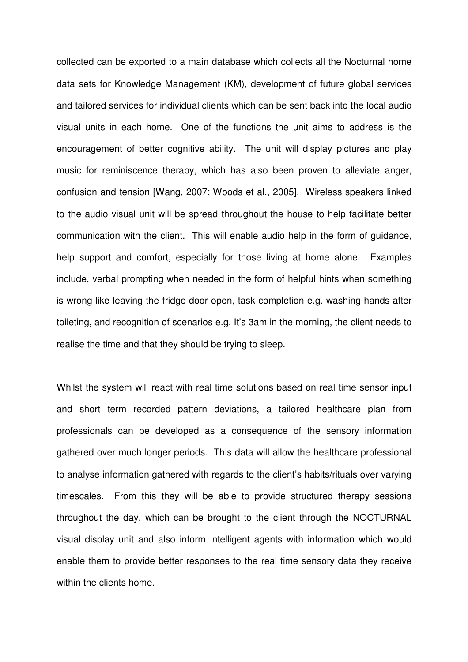collected can be exported to a main database which collects all the Nocturnal home data sets for Knowledge Management (KM), development of future global services and tailored services for individual clients which can be sent back into the local audio visual units in each home. One of the functions the unit aims to address is the encouragement of better cognitive ability. The unit will display pictures and play music for reminiscence therapy, which has also been proven to alleviate anger, confusion and tension [Wang, 2007; Woods et al., 2005]. Wireless speakers linked to the audio visual unit will be spread throughout the house to help facilitate better communication with the client. This will enable audio help in the form of guidance, help support and comfort, especially for those living at home alone. Examples include, verbal prompting when needed in the form of helpful hints when something is wrong like leaving the fridge door open, task completion e.g. washing hands after toileting, and recognition of scenarios e.g. It's 3am in the morning, the client needs to realise the time and that they should be trying to sleep.

Whilst the system will react with real time solutions based on real time sensor input and short term recorded pattern deviations, a tailored healthcare plan from professionals can be developed as a consequence of the sensory information gathered over much longer periods. This data will allow the healthcare professional to analyse information gathered with regards to the client's habits/rituals over varying timescales. From this they will be able to provide structured therapy sessions throughout the day, which can be brought to the client through the NOCTURNAL visual display unit and also inform intelligent agents with information which would enable them to provide better responses to the real time sensory data they receive within the clients home.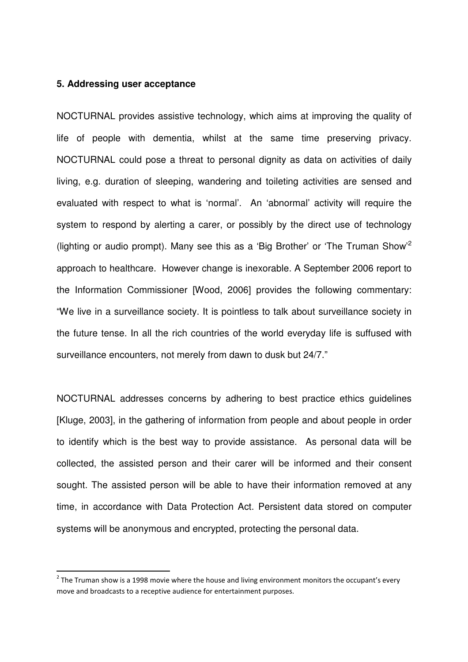#### **5. Addressing user acceptance**

 $\overline{\phantom{0}}$ 

NOCTURNAL provides assistive technology, which aims at improving the quality of life of people with dementia, whilst at the same time preserving privacy. NOCTURNAL could pose a threat to personal dignity as data on activities of daily living, e.g. duration of sleeping, wandering and toileting activities are sensed and evaluated with respect to what is 'normal'. An 'abnormal' activity will require the system to respond by alerting a carer, or possibly by the direct use of technology (lighting or audio prompt). Many see this as a 'Big Brother' or 'The Truman Show'<sup>2</sup> approach to healthcare. However change is inexorable. A September 2006 report to the Information Commissioner [Wood, 2006] provides the following commentary: "We live in a surveillance society. It is pointless to talk about surveillance society in the future tense. In all the rich countries of the world everyday life is suffused with surveillance encounters, not merely from dawn to dusk but 24/7."

NOCTURNAL addresses concerns by adhering to best practice ethics guidelines [Kluge, 2003], in the gathering of information from people and about people in order to identify which is the best way to provide assistance. As personal data will be collected, the assisted person and their carer will be informed and their consent sought. The assisted person will be able to have their information removed at any time, in accordance with Data Protection Act. Persistent data stored on computer systems will be anonymous and encrypted, protecting the personal data.

<sup>&</sup>lt;sup>2</sup> The Truman show is a 1998 movie where the house and living environment monitors the occupant's every move and broadcasts to a receptive audience for entertainment purposes.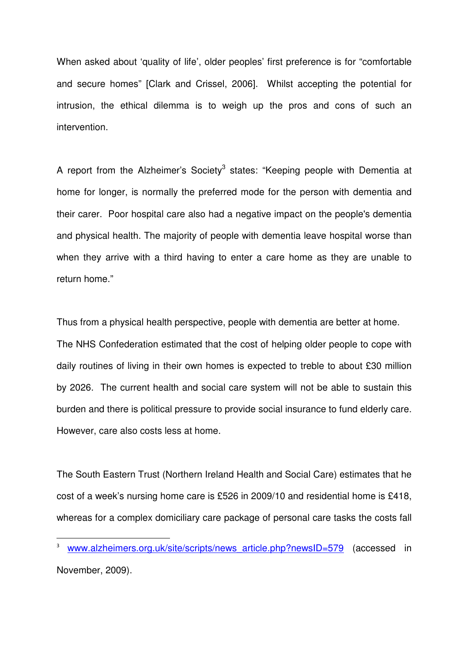When asked about 'quality of life', older peoples' first preference is for "comfortable and secure homes" [Clark and Crissel, 2006]. Whilst accepting the potential for intrusion, the ethical dilemma is to weigh up the pros and cons of such an intervention.

A report from the Alzheimer's Society<sup>3</sup> states: "Keeping people with Dementia at home for longer, is normally the preferred mode for the person with dementia and their carer. Poor hospital care also had a negative impact on the people's dementia and physical health. The majority of people with dementia leave hospital worse than when they arrive with a third having to enter a care home as they are unable to return home."

Thus from a physical health perspective, people with dementia are better at home. The NHS Confederation estimated that the cost of helping older people to cope with daily routines of living in their own homes is expected to treble to about £30 million by 2026. The current health and social care system will not be able to sustain this burden and there is political pressure to provide social insurance to fund elderly care. However, care also costs less at home.

The South Eastern Trust (Northern Ireland Health and Social Care) estimates that he cost of a week's nursing home care is £526 in 2009/10 and residential home is £418, whereas for a complex domiciliary care package of personal care tasks the costs fall

 $\overline{a}$ 

<sup>&</sup>lt;sup>3</sup> www.alzheimers.org.uk/site/scripts/news\_article.php?newsID=579 (accessed in November, 2009).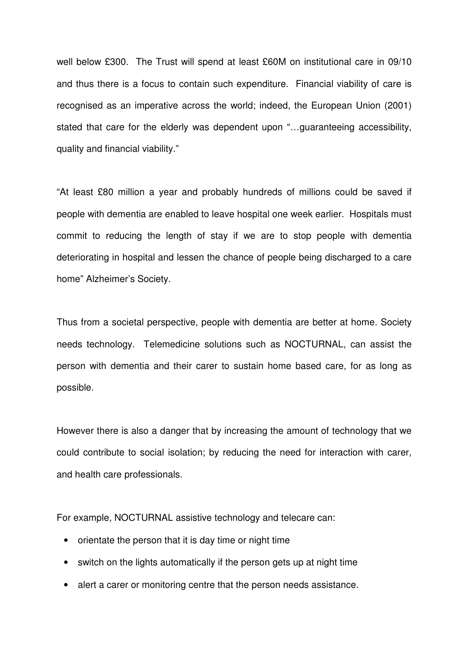well below £300. The Trust will spend at least £60M on institutional care in 09/10 and thus there is a focus to contain such expenditure. Financial viability of care is recognised as an imperative across the world; indeed, the European Union (2001) stated that care for the elderly was dependent upon "…guaranteeing accessibility, quality and financial viability."

"At least £80 million a year and probably hundreds of millions could be saved if people with dementia are enabled to leave hospital one week earlier. Hospitals must commit to reducing the length of stay if we are to stop people with dementia deteriorating in hospital and lessen the chance of people being discharged to a care home" Alzheimer's Society.

Thus from a societal perspective, people with dementia are better at home. Society needs technology. Telemedicine solutions such as NOCTURNAL, can assist the person with dementia and their carer to sustain home based care, for as long as possible.

However there is also a danger that by increasing the amount of technology that we could contribute to social isolation; by reducing the need for interaction with carer, and health care professionals.

For example, NOCTURNAL assistive technology and telecare can:

- orientate the person that it is day time or night time
- switch on the lights automatically if the person gets up at night time
- alert a carer or monitoring centre that the person needs assistance.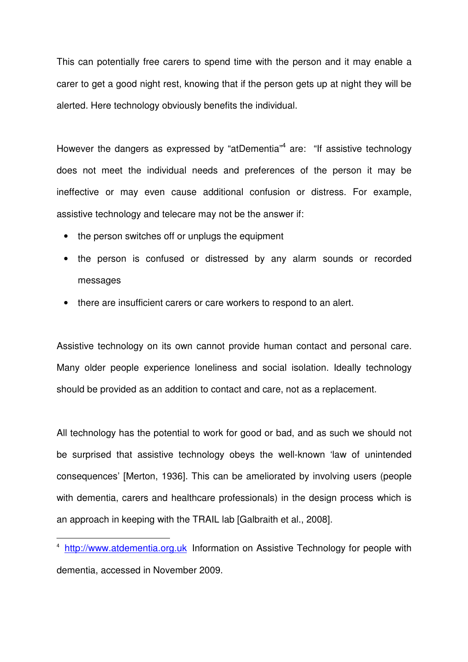This can potentially free carers to spend time with the person and it may enable a carer to get a good night rest, knowing that if the person gets up at night they will be alerted. Here technology obviously benefits the individual.

However the dangers as expressed by "atDementia"<sup>4</sup> are: "If assistive technology does not meet the individual needs and preferences of the person it may be ineffective or may even cause additional confusion or distress. For example, assistive technology and telecare may not be the answer if:

• the person switches off or unplugs the equipment

 $\overline{a}$ 

- the person is confused or distressed by any alarm sounds or recorded messages
- there are insufficient carers or care workers to respond to an alert.

Assistive technology on its own cannot provide human contact and personal care. Many older people experience loneliness and social isolation. Ideally technology should be provided as an addition to contact and care, not as a replacement.

All technology has the potential to work for good or bad, and as such we should not be surprised that assistive technology obeys the well-known 'law of unintended consequences' [Merton, 1936]. This can be ameliorated by involving users (people with dementia, carers and healthcare professionals) in the design process which is an approach in keeping with the TRAIL lab [Galbraith et al., 2008].

<sup>&</sup>lt;sup>4</sup> http://www.atdementia.org.uk Information on Assistive Technology for people with dementia, accessed in November 2009.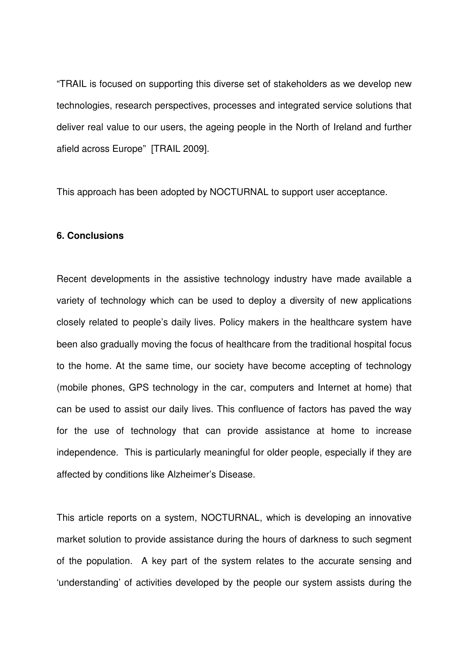"TRAIL is focused on supporting this diverse set of stakeholders as we develop new technologies, research perspectives, processes and integrated service solutions that deliver real value to our users, the ageing people in the North of Ireland and further afield across Europe" [TRAIL 2009].

This approach has been adopted by NOCTURNAL to support user acceptance.

# **6. Conclusions**

Recent developments in the assistive technology industry have made available a variety of technology which can be used to deploy a diversity of new applications closely related to people's daily lives. Policy makers in the healthcare system have been also gradually moving the focus of healthcare from the traditional hospital focus to the home. At the same time, our society have become accepting of technology (mobile phones, GPS technology in the car, computers and Internet at home) that can be used to assist our daily lives. This confluence of factors has paved the way for the use of technology that can provide assistance at home to increase independence. This is particularly meaningful for older people, especially if they are affected by conditions like Alzheimer's Disease.

This article reports on a system, NOCTURNAL, which is developing an innovative market solution to provide assistance during the hours of darkness to such segment of the population. A key part of the system relates to the accurate sensing and 'understanding' of activities developed by the people our system assists during the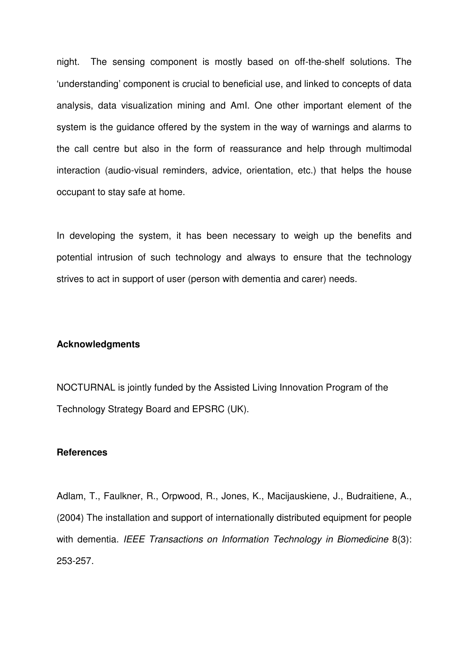night. The sensing component is mostly based on off-the-shelf solutions. The 'understanding' component is crucial to beneficial use, and linked to concepts of data analysis, data visualization mining and AmI. One other important element of the system is the guidance offered by the system in the way of warnings and alarms to the call centre but also in the form of reassurance and help through multimodal interaction (audio-visual reminders, advice, orientation, etc.) that helps the house occupant to stay safe at home.

In developing the system, it has been necessary to weigh up the benefits and potential intrusion of such technology and always to ensure that the technology strives to act in support of user (person with dementia and carer) needs.

# **Acknowledgments**

NOCTURNAL is jointly funded by the Assisted Living Innovation Program of the Technology Strategy Board and EPSRC (UK).

#### **References**

Adlam, T., Faulkner, R., Orpwood, R., Jones, K., Macijauskiene, J., Budraitiene, A., (2004) The installation and support of internationally distributed equipment for people with dementia. IEEE Transactions on Information Technology in Biomedicine 8(3): 253-257.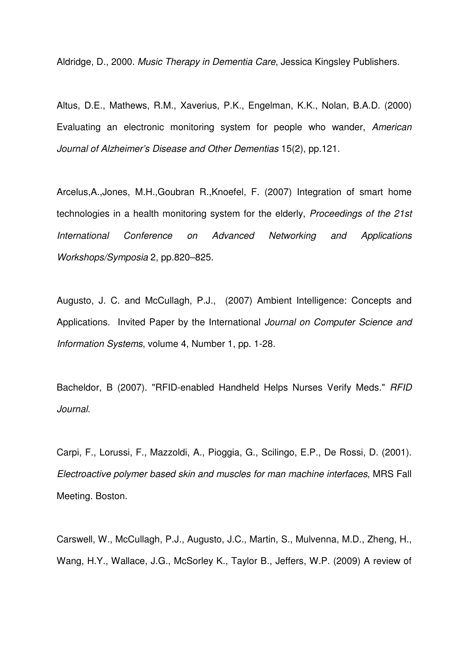Aldridge, D., 2000. Music Therapy in Dementia Care, Jessica Kingsley Publishers.

Altus, D.E., Mathews, R.M., Xaverius, P.K., Engelman, K.K., Nolan, B.A.D. (2000) Evaluating an electronic monitoring system for people who wander, American Journal of Alzheimer's Disease and Other Dementias 15(2), pp.121.

Arcelus,A.,Jones, M.H.,Goubran R.,Knoefel, F. (2007) Integration of smart home technologies in a health monitoring system for the elderly, Proceedings of the 21st International Conference on Advanced Networking and Applications Workshops/Symposia 2, pp.820–825.

Augusto, J. C. and McCullagh, P.J., (2007) Ambient Intelligence: Concepts and Applications. Invited Paper by the International Journal on Computer Science and Information Systems, volume 4, Number 1, pp. 1-28.

Bacheldor, B (2007). "RFID-enabled Handheld Helps Nurses Verify Meds." RFID Journal.

Carpi, F., Lorussi, F., Mazzoldi, A., Pioggia, G., Scilingo, E.P., De Rossi, D. (2001). Electroactive polymer based skin and muscles for man machine interfaces, MRS Fall Meeting. Boston.

Carswell, W., McCullagh, P.J., Augusto, J.C., Martin, S., Mulvenna, M.D., Zheng, H., Wang, H.Y., Wallace, J.G., McSorley K., Taylor B., Jeffers, W.P. (2009) A review of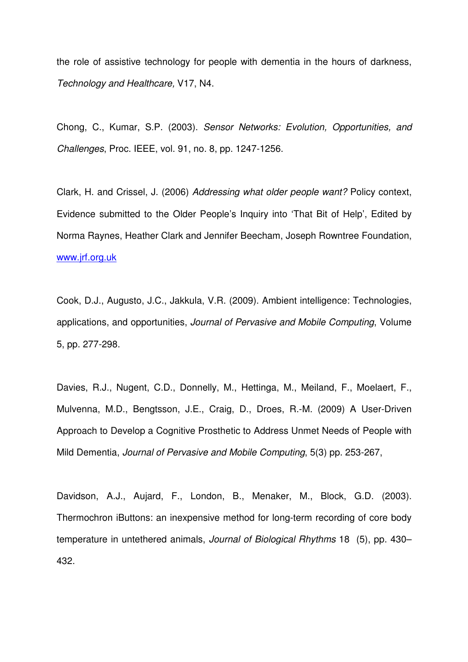the role of assistive technology for people with dementia in the hours of darkness, Technology and Healthcare, V17, N4.

Chong, C., Kumar, S.P. (2003). Sensor Networks: Evolution, Opportunities, and Challenges, Proc. IEEE, vol. 91, no. 8, pp. 1247-1256.

Clark, H. and Crissel, J. (2006) Addressing what older people want? Policy context, Evidence submitted to the Older People's Inquiry into 'That Bit of Help', Edited by Norma Raynes, Heather Clark and Jennifer Beecham, Joseph Rowntree Foundation, www.jrf.org.uk

Cook, D.J., Augusto, J.C., Jakkula, V.R. (2009). Ambient intelligence: Technologies, applications, and opportunities, Journal of Pervasive and Mobile Computing, Volume 5, pp. 277-298.

Davies, R.J., Nugent, C.D., Donnelly, M., Hettinga, M., Meiland, F., Moelaert, F., Mulvenna, M.D., Bengtsson, J.E., Craig, D., Droes, R.-M. (2009) A User-Driven Approach to Develop a Cognitive Prosthetic to Address Unmet Needs of People with Mild Dementia, Journal of Pervasive and Mobile Computing, 5(3) pp. 253-267,

Davidson, A.J., Aujard, F., London, B., Menaker, M., Block, G.D. (2003). Thermochron iButtons: an inexpensive method for long-term recording of core body temperature in untethered animals, *Journal of Biological Rhythms* 18 (5), pp. 430– 432.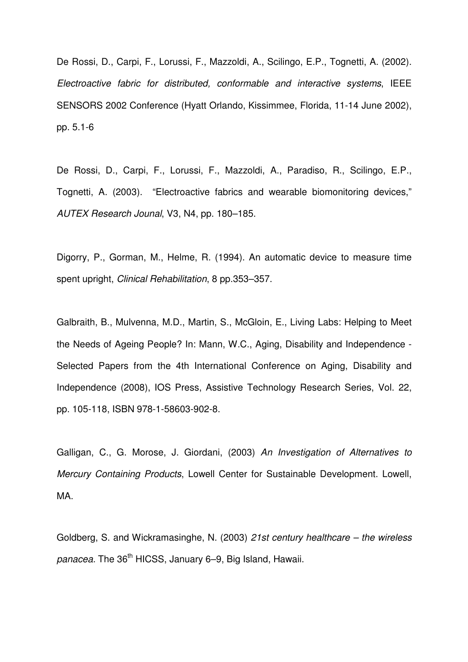De Rossi, D., Carpi, F., Lorussi, F., Mazzoldi, A., Scilingo, E.P., Tognetti, A. (2002). Electroactive fabric for distributed, conformable and interactive systems, IEEE SENSORS 2002 Conference (Hyatt Orlando, Kissimmee, Florida, 11-14 June 2002), pp. 5.1-6

De Rossi, D., Carpi, F., Lorussi, F., Mazzoldi, A., Paradiso, R., Scilingo, E.P., Tognetti, A. (2003). "Electroactive fabrics and wearable biomonitoring devices," AUTEX Research Jounal, V3, N4, pp. 180–185.

Digorry, P., Gorman, M., Helme, R. (1994). An automatic device to measure time spent upright, Clinical Rehabilitation, 8 pp.353–357.

Galbraith, B., Mulvenna, M.D., Martin, S., McGloin, E., Living Labs: Helping to Meet the Needs of Ageing People? In: Mann, W.C., Aging, Disability and Independence - Selected Papers from the 4th International Conference on Aging, Disability and Independence (2008), IOS Press, Assistive Technology Research Series, Vol. 22, pp. 105-118, ISBN 978-1-58603-902-8.

Galligan, C., G. Morose, J. Giordani, (2003) An Investigation of Alternatives to Mercury Containing Products, Lowell Center for Sustainable Development. Lowell, MA.

Goldberg, S. and Wickramasinghe, N. (2003) 21st century healthcare – the wireless panacea. The 36<sup>th</sup> HICSS, January 6–9, Big Island, Hawaii.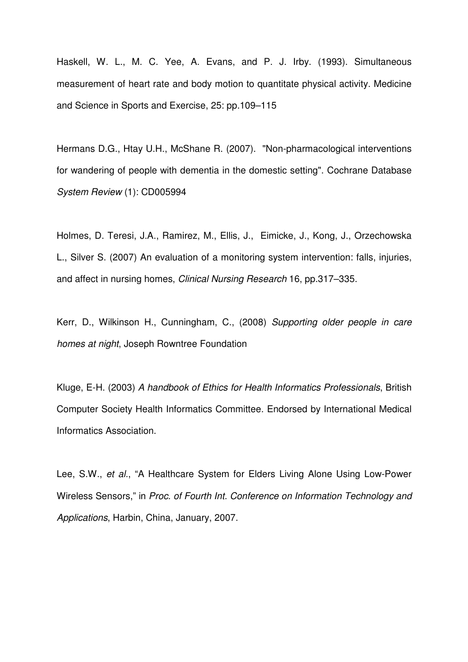Haskell, W. L., M. C. Yee, A. Evans, and P. J. Irby. (1993). Simultaneous measurement of heart rate and body motion to quantitate physical activity. Medicine and Science in Sports and Exercise, 25: pp.109–115

Hermans D.G., Htay U.H., McShane R. (2007). "Non-pharmacological interventions for wandering of people with dementia in the domestic setting". Cochrane Database System Review (1): CD005994

Holmes, D. Teresi, J.A., Ramirez, M., Ellis, J., Eimicke, J., Kong, J., Orzechowska L., Silver S. (2007) An evaluation of a monitoring system intervention: falls, injuries, and affect in nursing homes, Clinical Nursing Research 16, pp.317–335.

Kerr, D., Wilkinson H., Cunningham, C., (2008) Supporting older people in care homes at night, Joseph Rowntree Foundation

Kluge, E-H. (2003) A handbook of Ethics for Health Informatics Professionals, British Computer Society Health Informatics Committee. Endorsed by International Medical Informatics Association.

Lee, S.W., et al., "A Healthcare System for Elders Living Alone Using Low-Power Wireless Sensors," in Proc. of Fourth Int. Conference on Information Technology and Applications, Harbin, China, January, 2007.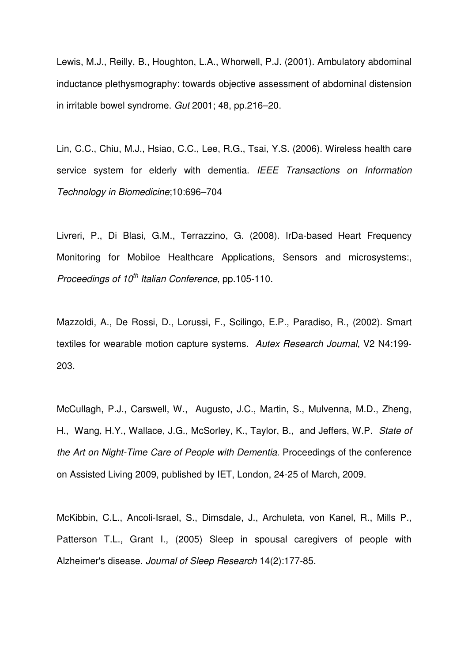Lewis, M.J., Reilly, B., Houghton, L.A., Whorwell, P.J. (2001). Ambulatory abdominal inductance plethysmography: towards objective assessment of abdominal distension in irritable bowel syndrome. Gut 2001; 48, pp.216–20.

Lin, C.C., Chiu, M.J., Hsiao, C.C., Lee, R.G., Tsai, Y.S. (2006). Wireless health care service system for elderly with dementia. IEEE Transactions on Information Technology in Biomedicine;10:696–704

Livreri, P., Di Blasi, G.M., Terrazzino, G. (2008). IrDa-based Heart Frequency Monitoring for Mobiloe Healthcare Applications, Sensors and microsystems:, Proceedings of  $10^{th}$  Italian Conference, pp.105-110.

Mazzoldi, A., De Rossi, D., Lorussi, F., Scilingo, E.P., Paradiso, R., (2002). Smart textiles for wearable motion capture systems. Autex Research Journal, V2 N4:199-203.

McCullagh, P.J., Carswell, W., Augusto, J.C., Martin, S., Mulvenna, M.D., Zheng, H., Wang, H.Y., Wallace, J.G., McSorley, K., Taylor, B., and Jeffers, W.P. State of the Art on Night-Time Care of People with Dementia. Proceedings of the conference on Assisted Living 2009, published by IET, London, 24-25 of March, 2009.

McKibbin, C.L., Ancoli-Israel, S., Dimsdale, J., Archuleta, von Kanel, R., Mills P., Patterson T.L., Grant I., (2005) Sleep in spousal caregivers of people with Alzheimer's disease. Journal of Sleep Research 14(2):177-85.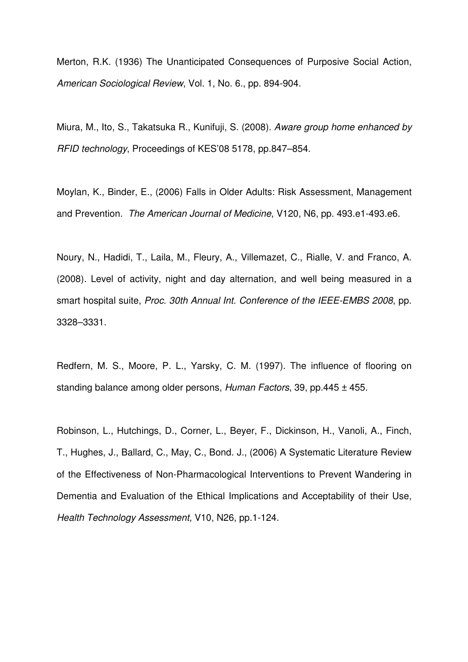Merton, R.K. (1936) The Unanticipated Consequences of Purposive Social Action, American Sociological Review, Vol. 1, No. 6., pp. 894-904.

Miura, M., Ito, S., Takatsuka R., Kunifuji, S. (2008). Aware group home enhanced by RFID technology, Proceedings of KES'08 5178, pp.847–854.

Moylan, K., Binder, E., (2006) Falls in Older Adults: Risk Assessment, Management and Prevention. The American Journal of Medicine, V120, N6, pp. 493.e1-493.e6.

Noury, N., Hadidi, T., Laila, M., Fleury, A., Villemazet, C., Rialle, V. and Franco, A. (2008). Level of activity, night and day alternation, and well being measured in a smart hospital suite, Proc. 30th Annual Int. Conference of the IEEE-EMBS 2008, pp. 3328–3331.

Redfern, M. S., Moore, P. L., Yarsky, C. M. (1997). The influence of flooring on standing balance among older persons, Human Factors, 39, pp. 445  $\pm$  455.

Robinson, L., Hutchings, D., Corner, L., Beyer, F., Dickinson, H., Vanoli, A., Finch, T., Hughes, J., Ballard, C., May, C., Bond. J., (2006) A Systematic Literature Review of the Effectiveness of Non-Pharmacological Interventions to Prevent Wandering in Dementia and Evaluation of the Ethical Implications and Acceptability of their Use, Health Technology Assessment, V10, N26, pp.1-124.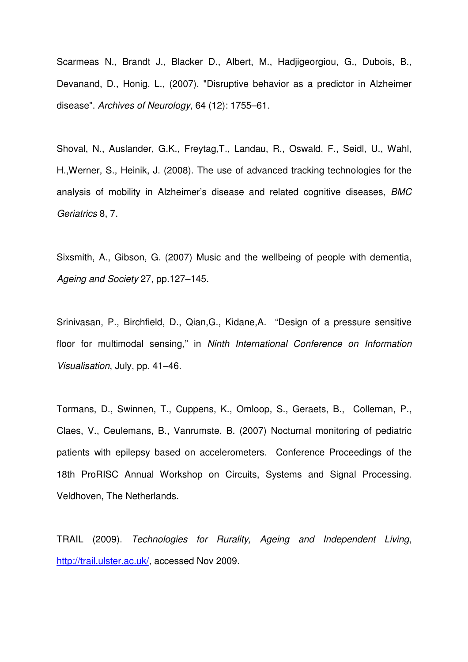Scarmeas N., Brandt J., Blacker D., Albert, M., Hadjigeorgiou, G., Dubois, B., Devanand, D., Honig, L., (2007). "Disruptive behavior as a predictor in Alzheimer disease". Archives of Neurology, 64 (12): 1755–61.

Shoval, N., Auslander, G.K., Freytag,T., Landau, R., Oswald, F., Seidl, U., Wahl, H.,Werner, S., Heinik, J. (2008). The use of advanced tracking technologies for the analysis of mobility in Alzheimer's disease and related cognitive diseases, BMC Geriatrics 8, 7.

Sixsmith, A., Gibson, G. (2007) Music and the wellbeing of people with dementia, Ageing and Society 27, pp.127–145.

Srinivasan, P., Birchfield, D., Qian,G., Kidane,A. "Design of a pressure sensitive floor for multimodal sensing," in Ninth International Conference on Information Visualisation, July, pp. 41–46.

Tormans, D., Swinnen, T., Cuppens, K., Omloop, S., Geraets, B., Colleman, P., Claes, V., Ceulemans, B., Vanrumste, B. (2007) Nocturnal monitoring of pediatric patients with epilepsy based on accelerometers. Conference Proceedings of the 18th ProRISC Annual Workshop on Circuits, Systems and Signal Processing. Veldhoven, The Netherlands.

TRAIL (2009). Technologies for Rurality, Ageing and Independent Living, http://trail.ulster.ac.uk/, accessed Nov 2009.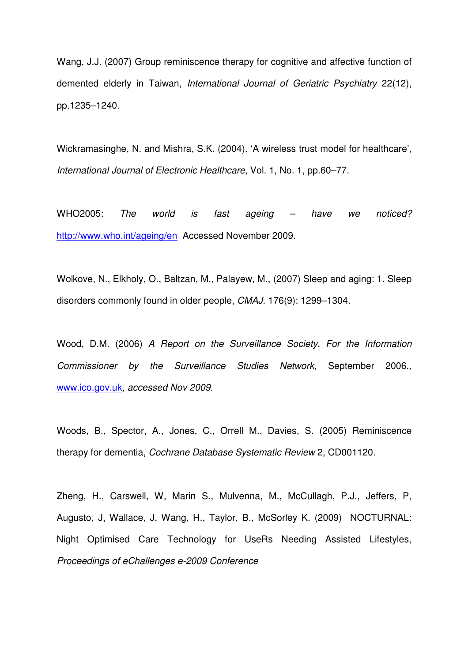Wang, J.J. (2007) Group reminiscence therapy for cognitive and affective function of demented elderly in Taiwan, International Journal of Geriatric Psychiatry 22(12), pp.1235–1240.

Wickramasinghe, N. and Mishra, S.K. (2004). 'A wireless trust model for healthcare', International Journal of Electronic Healthcare, Vol. 1, No. 1, pp.60–77.

WHO2005: The world is fast ageing – have we noticed? http://www.who.int/ageing/en Accessed November 2009.

Wolkove, N., Elkholy, O., Baltzan, M., Palayew, M., (2007) Sleep and aging: 1. Sleep disorders commonly found in older people, CMAJ. 176(9): 1299–1304.

Wood, D.M. (2006) A Report on the Surveillance Society. For the Information Commissioner by the Surveillance Studies Network, September 2006., www.ico.gov.uk, accessed Nov 2009.

Woods, B., Spector, A., Jones, C., Orrell M., Davies, S. (2005) Reminiscence therapy for dementia, Cochrane Database Systematic Review 2, CD001120.

Zheng, H., Carswell, W, Marin S., Mulvenna, M., McCullagh, P.J., Jeffers, P, Augusto, J, Wallace, J, Wang, H., Taylor, B., McSorley K. (2009) NOCTURNAL: Night Optimised Care Technology for UseRs Needing Assisted Lifestyles, Proceedings of eChallenges e-2009 Conference